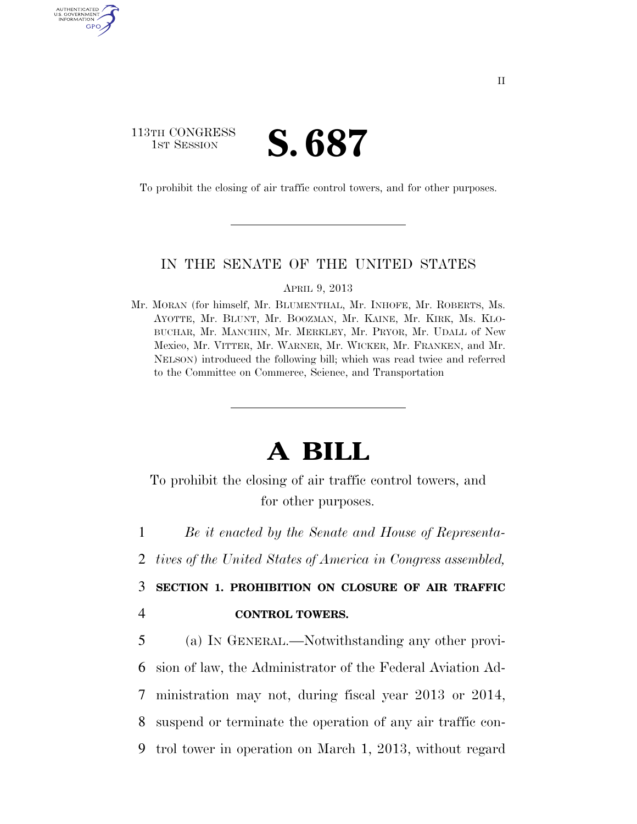## 113TH CONGRESS **IST SESSION S. 687**

AUTHENTICATED U.S. GOVERNMENT GPO

To prohibit the closing of air traffic control towers, and for other purposes.

## IN THE SENATE OF THE UNITED STATES

APRIL 9, 2013

Mr. MORAN (for himself, Mr. BLUMENTHAL, Mr. INHOFE, Mr. ROBERTS, Ms. AYOTTE, Mr. BLUNT, Mr. BOOZMAN, Mr. KAINE, Mr. KIRK, Ms. KLO-BUCHAR, Mr. MANCHIN, Mr. MERKLEY, Mr. PRYOR, Mr. UDALL of New Mexico, Mr. VITTER, Mr. WARNER, Mr. WICKER, Mr. FRANKEN, and Mr. NELSON) introduced the following bill; which was read twice and referred to the Committee on Commerce, Science, and Transportation

## **A BILL**

To prohibit the closing of air traffic control towers, and for other purposes.

1 *Be it enacted by the Senate and House of Representa-*

2 *tives of the United States of America in Congress assembled,* 

3 **SECTION 1. PROHIBITION ON CLOSURE OF AIR TRAFFIC**  4 **CONTROL TOWERS.** 

 (a) IN GENERAL.—Notwithstanding any other provi- sion of law, the Administrator of the Federal Aviation Ad- ministration may not, during fiscal year 2013 or 2014, suspend or terminate the operation of any air traffic con-trol tower in operation on March 1, 2013, without regard